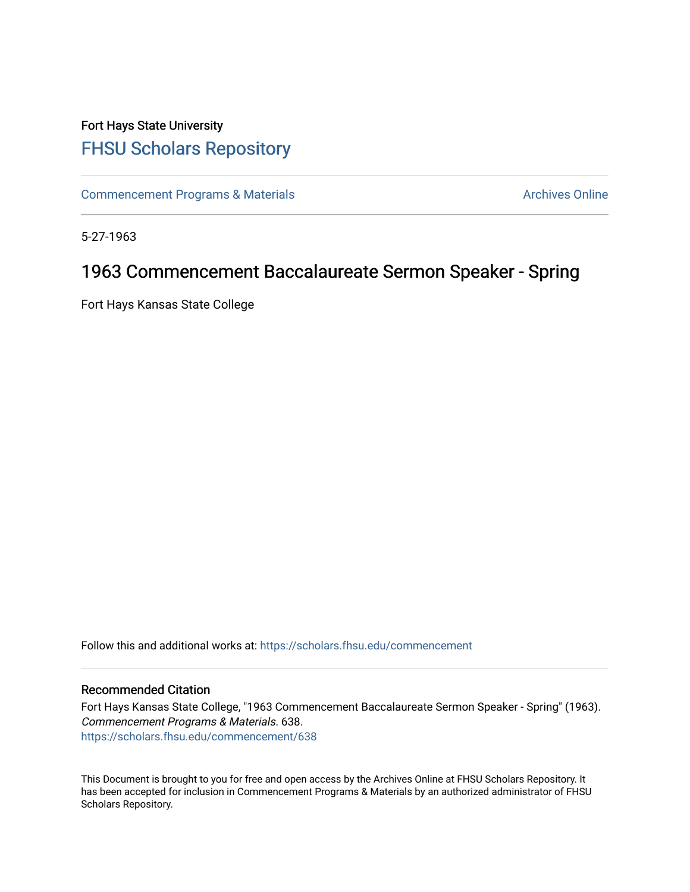## Fort Hays State University [FHSU Scholars Repository](https://scholars.fhsu.edu/)

[Commencement Programs & Materials](https://scholars.fhsu.edu/commencement) **Archives Online** Archives Online

5-27-1963

## 1963 Commencement Baccalaureate Sermon Speaker - Spring

Fort Hays Kansas State College

Follow this and additional works at: [https://scholars.fhsu.edu/commencement](https://scholars.fhsu.edu/commencement?utm_source=scholars.fhsu.edu%2Fcommencement%2F638&utm_medium=PDF&utm_campaign=PDFCoverPages)

## Recommended Citation

Fort Hays Kansas State College, "1963 Commencement Baccalaureate Sermon Speaker - Spring" (1963). Commencement Programs & Materials. 638. [https://scholars.fhsu.edu/commencement/638](https://scholars.fhsu.edu/commencement/638?utm_source=scholars.fhsu.edu%2Fcommencement%2F638&utm_medium=PDF&utm_campaign=PDFCoverPages)

This Document is brought to you for free and open access by the Archives Online at FHSU Scholars Repository. It has been accepted for inclusion in Commencement Programs & Materials by an authorized administrator of FHSU Scholars Repository.